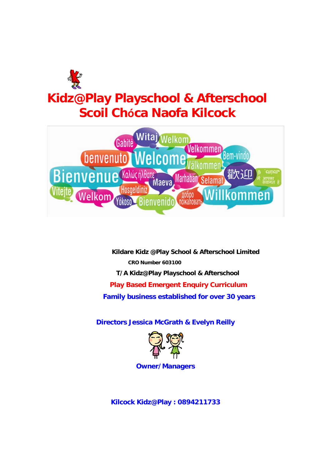



**Kildare Kidz @Play School & Afterschool Limited CRO Number 603100 T/A Kidz@Play Playschool & Afterschool Play Based Emergent Enquiry Curriculum Family business established for over 30 years**

**Directors Jessica McGrath & Evelyn Reilly**



**Owner/Managers**

**Kilcock Kidz@Play : 0894211733**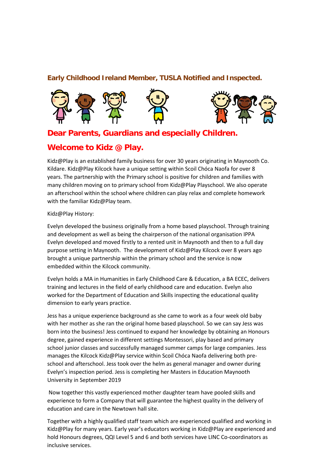### **Early Childhood Ireland Member, TUSLA Notified and Inspected.**



# **Dear Parents, Guardians and especially Children.**

## **Welcome to Kidz @ Play.**

Kidz@Play is an established family business for over 30 years originating in Maynooth Co. Kildare. Kidz@Play Kilcock have a unique setting within Scoil Chóca Naofa for over 8 years. The partnership with the Primary school is positive for children and families with many children moving on to primary school from Kidz@Play Playschool. We also operate an afterschool within the school where children can play relax and complete homework with the familiar Kidz@Play team.

Kidz@Play History:

Evelyn developed the business originally from a home based playschool. Through training and development as well as being the chairperson of the national organisation IPPA Evelyn developed and moved firstly to a rented unit in Maynooth and then to a full day purpose setting in Maynooth. The development of Kidz@Play Kilcock over 8 years ago brought a unique partnership within the primary school and the service is now embedded within the Kilcock community.

Evelyn holds a MA in Humanities in Early Childhood Care & Education, a BA ECEC, delivers training and lectures in the field of early childhood care and education. Evelyn also worked for the Department of Education and Skills inspecting the educational quality dimension to early years practice.

Jess has a unique experience background as she came to work as a four week old baby with her mother as she ran the original home based playschool. So we can say Jess was born into the business! Jess continued to expand her knowledge by obtaining an Honours degree, gained experience in different settings Montessori, play based and primary school junior classes and successfully managed summer camps for large companies. Jess manages the Kilcock Kidz@Play service within Scoil Chóca Naofa delivering both preschool and afterschool. Jess took over the helm as general manager and owner during Evelyn's inspection period. Jess is completing her Masters in Education Maynooth University in September 2019

Now together this vastly experienced mother daughter team have pooled skills and experience to form a Company that will guarantee the highest quality in the delivery of education and care in the Newtown hall site.

Together with a highly qualified staff team which are experienced qualified and working in Kidz@Play for many years. Early year's educators working in Kidz@Play are experienced and hold Honours degrees, QQI Level 5 and 6 and both services have LINC Co-coordinators as inclusive services.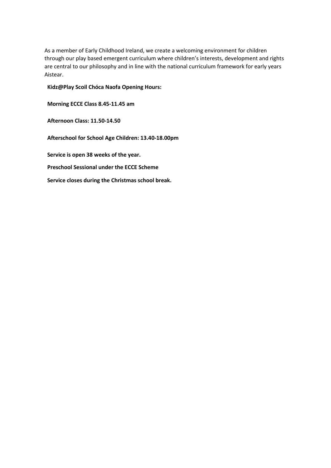As a member of Early Childhood Ireland, we create a welcoming environment for children through our play based emergent curriculum where children's interests, development and rights are central to our philosophy and in line with the national curriculum framework for early years Aistear.

**Kidz@Play Scoil Chóca Naofa Opening Hours:** 

**Morning ECCE Class 8.45-11.45 am**

**Afternoon Class: 11.50-14.50**

**Afterschool for School Age Children: 13.40-18.00pm**

**Service is open 38 weeks of the year.**

**Preschool Sessional under the ECCE Scheme**

**Service closes during the Christmas school break.**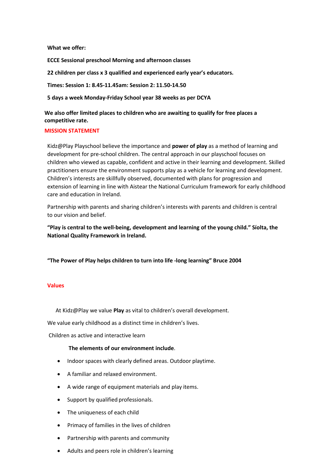**What we offer:**

**ECCE Sessional preschool Morning and afternoon classes**

**22 children per class x 3 qualified and experienced early year's educators.**

**Times: Session 1: 8.45-11.45am: Session 2: 11.50-14.50** 

**5 days a week Monday-Friday School year 38 weeks as per DCYA**

**We also offer limited places to children who are awaiting to qualify for free places a competitive rate.**

#### **MISSION STATEMENT**

Kidz@Play Playschool believe the importance and **power of play** as a method of learning and development for pre-school children. The central approach in our playschool focuses on children who viewed as capable, confident and active in their learning and development. Skilled practitioners ensure the environment supports play as a vehicle for learning and development. Children's interests are skillfully observed, documented with plans for progression and extension of learning in line with Aistear the National Curriculum framework for early childhood care and education in Ireland.

Partnership with parents and sharing children's interests with parents and children is central to our vision and belief.

**"Play is central to the well-being, development and learning of the young child." Síolta, the National Quality Framework in Ireland.**

**"The Power of Play helps children to turn into life -long learning" Bruce 2004**

#### **Values**

At Kidz@Play we value **Play** as vital to children's overall development.

We value early childhood as a distinct time in children's lives.

Children as active and interactive learn

### **The elements of our environment include**.

- Indoor spaces with clearly defined areas. Outdoor playtime.
- A familiar and relaxed environment.
- A wide range of equipment materials and play items.
- Support by qualified professionals.
- The uniqueness of each child
- Primacy of families in the lives of children
- Partnership with parents and community
- Adults and peers role in children's learning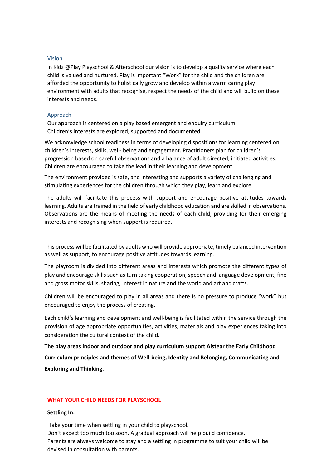#### Vision

In Kidz @Play Playschool & Afterschool our vision is to develop a quality service where each child is valued and nurtured. Play is important "Work" for the child and the children are afforded the opportunity to holistically grow and develop within a warm caring play environment with adults that recognise, respect the needs of the child and will build on these interests and needs.

#### Approach

Our approach is centered on a play based emergent and enquiry curriculum. Children's interests are explored, supported and documented.

We acknowledge school readiness in terms of developing dispositions for learning centered on children's interests, skills, well- being and engagement. Practitioners plan for children's progression based on careful observations and a balance of adult directed, initiated activities. Children are encouraged to take the lead in their learning and development.

The environment provided is safe, and interesting and supports a variety of challenging and stimulating experiences for the children through which they play, learn and explore.

The adults will facilitate this process with support and encourage positive attitudes towards learning. Adults are trained in the field of early childhood education and are skilled in observations. Observations are the means of meeting the needs of each child, providing for their emerging interests and recognising when support is required.

This process will be facilitated by adults who will provide appropriate, timely balanced intervention as well as support, to encourage positive attitudes towards learning.

The playroom is divided into different areas and interests which promote the different types of play and encourage skills such as turn taking cooperation, speech and language development, fine and gross motor skills, sharing, interest in nature and the world and art and crafts.

Children will be encouraged to play in all areas and there is no pressure to produce "work" but encouraged to enjoy the process of creating.

Each child's learning and development and well-being is facilitated within the service through the provision of age appropriate opportunities, activities, materials and play experiences taking into consideration the cultural context of the child.

**The play areas indoor and outdoor and play curriculum support Aistear the Early Childhood Curriculum principles and themes of Well-being, Identity and Belonging, Communicating and Exploring and Thinking.**

#### **WHAT YOUR CHILD NEEDS FOR PLAYSCHOOL**

#### **Settling In:**

Take your time when settling in your child to playschool. Don't expect too much too soon. A gradual approach will help build confidence. Parents are always welcome to stay and a settling in programme to suit your child will be devised in consultation with parents.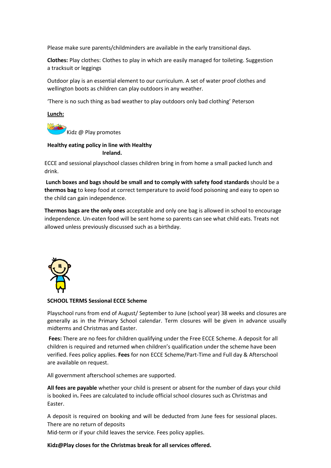Please make sure parents/childminders are available in the early transitional days.

**Clothes:** Play clothes: Clothes to play in which are easily managed for toileting. Suggestion a tracksuit or leggings

Outdoor play is an essential element to our curriculum. A set of water proof clothes and wellington boots as children can play outdoors in any weather.

'There is no such thing as bad weather to play outdoors only bad clothing' Peterson

**Lunch:**

Kidz @ Play promotes

### **Healthy eating policy in line with Healthy Ireland.**

ECCE and sessional playschool classes children bring in from home a small packed lunch and drink.

**Lunch boxes and bags should be small and to comply with safety food standards** should be a **thermos bag** to keep food at correct temperature to avoid food poisoning and easy to open so the child can gain independence.

**Thermos bags are the only ones** acceptable and only one bag is allowed in school to encourage independence. Un-eaten food will be sent home so parents can see what child eats. Treats not allowed unless previously discussed such as a birthday.



#### **SCHOOL TERMS Sessional ECCE Scheme**

Playschool runs from end of August/ September to June (school year) 38 weeks and closures are generally as in the Primary School calendar. Term closures will be given in advance usually midterms and Christmas and Easter.

**Fees:** There are no fees for children qualifying under the Free ECCE Scheme. A deposit for all children is required and returned when children's qualification under the scheme have been verified. Fees policy applies. **Fees** for non ECCE Scheme/Part-Time and Full day & Afterschool are available on request.

All government afterschool schemes are supported.

**All fees are payable** whether your child is present or absent for the number of days your child is booked in**.** Fees are calculated to include official school closures such as Christmas and Easter.

A deposit is required on booking and will be deducted from June fees for sessional places. There are no return of deposits

Mid-term or if your child leaves the service. Fees policy applies.

**Kidz@Play closes for the Christmas break for all services offered.**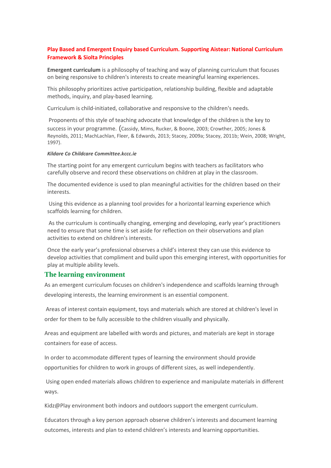### **Play Based and Emergent Enquiry based Curriculum. Supporting Aistear: National Curriculum Framework & Siolta Principles**

**Emergent curriculum** is a philosophy of teaching and way of planning curriculum that focuses on being responsive to children's interests to create meaningful learning experiences.

This philosophy prioritizes active participation, relationship building, flexible and adaptable methods, inquiry, and play-based learning.

Curriculum is child-initiated, collaborative and responsive to the children's needs.

Proponents of this style of teaching advocate that knowledge of the children is the key to

success in your programme. (Cassidy, Mims, Rucker, & Boone, 2003; Crowther, 2005; Jones & Reynolds, 2011; MachLachlan, Fleer, & Edwards, 2013; Stacey, 2009a; Stacey, 2011b; Wein, 2008; Wright, 1997).

#### *Kildare Co Childcare Committee.kccc.ie*

The starting point for any emergent curriculum begins with teachers as facilitators who carefully observe and record these observations on children at play in the classroom.

The documented evidence is used to plan meaningful activities for the children based on their interests.

Using this evidence as a planning tool provides for a horizontal learning experience which scaffolds learning for children.

As the curriculum is continually changing, emerging and developing, early year's practitioners need to ensure that some time is set aside for reflection on their observations and plan activities to extend on children's interests.

Once the early year's professional observes a child's interest they can use this evidence to develop activities that compliment and build upon this emerging interest, with opportunities for play at multiple ability levels.

### **The learning environment**

As an emergent curriculum focuses on children's independence and scaffolds learning through developing interests, the learning environment is an essential component.

Areas of interest contain equipment, toys and materials which are stored at children's level in order for them to be fully accessible to the children visually and physically.

Areas and equipment are labelled with words and pictures, and materials are kept in storage containers for ease of access.

In order to accommodate different types of learning the environment should provide opportunities for children to work in groups of different sizes, as well independently.

Using open ended materials allows children to experience and manipulate materials in different ways.

Kidz@Play environment both indoors and outdoors support the emergent curriculum.

Educators through a key person approach observe children's interests and document learning outcomes, interests and plan to extend children's interests and learning opportunities.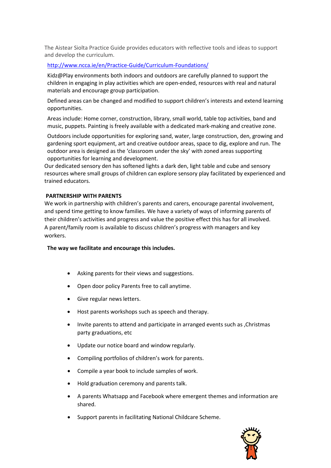The Aistear Siolta Practice Guide provides educators with reflective tools and ideas to support and develop the curriculum.

#### <http://www.ncca.ie/en/Practice-Guide/Curriculum-Foundations/>

Kidz@Play environments both indoors and outdoors are carefully planned to support the children in engaging in play activities which are open-ended, resources with real and natural materials and encourage group participation.

Defined areas can be changed and modified to support children's interests and extend learning opportunities.

Areas include: Home corner, construction, library, small world, table top activities, band and music, puppets. Painting is freely available with a dedicated mark-making and creative zone.

Outdoors include opportunities for exploring sand, water, large construction, den, growing and gardening sport equipment, art and creative outdoor areas, space to dig, explore and run. The outdoor area is designed as the 'classroom under the sky' with zoned areas supporting opportunities for learning and development.

Our dedicated sensory den has softened lights a dark den, light table and cube and sensory resources where small groups of children can explore sensory play facilitated by experienced and trained educators.

#### **PARTNERSHIP WITH PARENTS**

We work in partnership with children's parents and carers, encourage parental involvement, and spend time getting to know families. We have a variety of ways of informing parents of their children's activities and progress and value the positive effect this has for all involved. A parent/family room is available to discuss children's progress with managers and key workers.

**The way we facilitate and encourage this includes.**

- Asking parents for their views and suggestions.
- Open door policy Parents free to call anytime.
- Give regular news letters.
- Host parents workshops such as speech and therapy.
- Invite parents to attend and participate in arranged events such as ,Christmas party graduations, etc
- Update our notice board and window regularly.
- Compiling portfolios of children's work for parents.
- Compile a year book to include samples of work.
- Hold graduation ceremony and parents talk.
- A parents Whatsapp and Facebook where emergent themes and information are shared.
- Support parents in facilitating National Childcare Scheme.

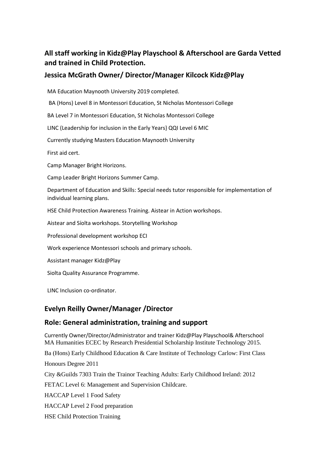# **All staff working in Kidz@Play Playschool & Afterschool are Garda Vetted and trained in Child Protection.**

## **Jessica McGrath Owner/ Director/Manager Kilcock Kidz@Play**

MA Education Maynooth University 2019 completed.

BA (Hons) Level 8 in Montessori Education, St Nicholas Montessori College

BA Level 7 in Montessori Education, St Nicholas Montessori College

LINC (Leadership for inclusion in the Early Years} QQI Level 6 MIC

Currently studying Masters Education Maynooth University

First aid cert.

Camp Manager Bright Horizons.

Camp Leader Bright Horizons Summer Camp.

Department of Education and Skills: Special needs tutor responsible for implementation of individual learning plans.

HSE Child Protection Awareness Training. Aistear in Action workshops.

Aistear and Síolta workshops. Storytelling Workshop

Professional development workshop ECI

Work experience Montessori schools and primary schools.

Assistant manager Kidz@Play

Siolta Quality Assurance Programme.

LINC Inclusion co-ordinator.

## **Evelyn Reilly Owner/Manager /Director**

## **Role: General administration, training and support**

Currently Owner/Director/Administrator and trainer Kidz@Play Playschool& Afterschool MA Humanities ECEC by Research Presidential Scholarship Institute Technology 2015.

Ba (Hons) Early Childhood Education & Care Institute of Technology Carlow: First Class

Honours Degree 2011

City &Guilds 7303 Train the Trainor Teaching Adults: Early Childhood Ireland: 2012

FETAC Level 6: Management and Supervision Childcare.

HACCAP Level 1 Food Safety

HACCAP Level 2 Food preparation

HSE Child Protection Training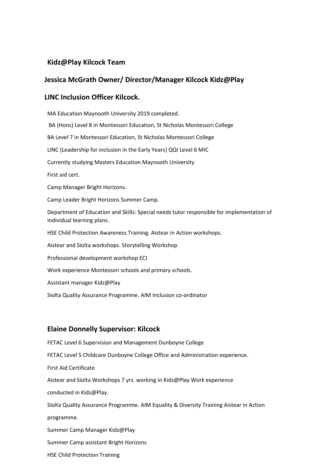## **Kidz@Play Kilcock Team**

### **Jessica McGrath Owner/ Director/Manager Kilcock Kidz@Play**

### **LINC Inclusion Officer Kilcock.**

MA Education Maynooth University 2019 completed. BA (Hons) Level 8 in Montessori Education, St Nicholas Montessori College BA Level 7 in Montessori Education, St Nicholas Montessori College LINC (Leadership for inclusion in the Early Years} QQI Level 6 MIC Currently studying Masters Education Maynooth University First aid cert. Camp Manager Bright Horizons. Camp Leader Bright Horizons Summer Camp. Department of Education and Skills: Special needs tutor responsible for implementation of individual learning plans. HSE Child Protection Awareness Training. Aistear in Action workshops. Aistear and Síolta workshops. Storytelling Workshop Professional development workshop ECI Work experience Montessori schools and primary schools. Assistant manager Kidz@Play Siolta Quality Assurance Programme. AIM Inclusion co-ordinator

## **Elaine Donnelly Supervisor: Kilcock**

FETAC Level 6 Supervision and Management Dunboyne College FETAC Level 5 Childcare Dunboyne College Office and Administration experience. First Aid Certificate Aistear and Síolta Workshops 7 yrs. working in Kidz@Play Work experience conducted in Kidz@Play. Síolta Quality Assurance Programme. AIM Equality & Diversity Training Aistear in Action programme. Summer Camp Manager Kidz@Play Summer Camp assistant Bright Horizons HSE Child Protection Training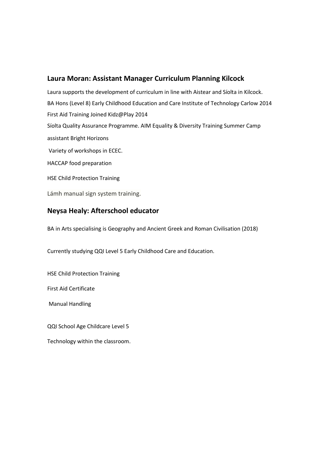### **Laura Moran: Assistant Manager Curriculum Planning Kilcock**

Laura supports the development of curriculum in line with Aistear and Síolta in Kilcock. BA Hons (Level 8) Early Childhood Education and Care Institute of Technology Carlow 2014 First Aid Training Joined Kidz@Play 2014 Síolta Quality Assurance Programme. AIM Equality & Diversity Training Summer Camp assistant Bright Horizons Variety of workshops in ECEC. HACCAP food preparation HSE Child Protection Training

Lámh manual sign system training.

### **Neysa Healy: Afterschool educator**

BA in Arts specialising is Geography and Ancient Greek and Roman Civilisation (2018)

Currently studying QQI Level 5 Early Childhood Care and Education.

HSE Child Protection Training

First Aid Certificate

Manual Handling

QQI School Age Childcare Level 5

Technology within the classroom.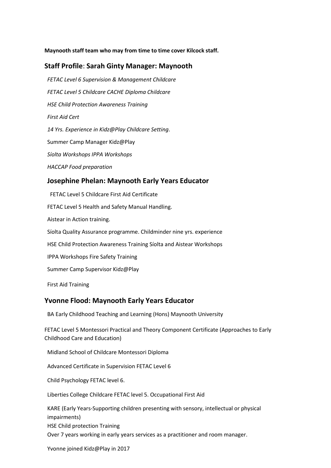### **Maynooth staff team who may from time to time cover Kilcock staff.**

### **Staff Profile**: **Sarah Ginty Manager: Maynooth**

*FETAC Level 6 Supervision & Management Childcare FETAC Level 5 Childcare CACHE Diploma Childcare HSE Child Protection Awareness Training First Aid Cert 14 Yrs. Experience in Kidz@Play Childcare Setting*. Summer Camp Manager Kidz@Play *Síolta Workshops IPPA Workshops HACCAP Food preparation* **Josephine Phelan: Maynooth Early Years Educator**

FETAC Level 5 Childcare First Aid Certificate FETAC Level 5 Health and Safety Manual Handling. Aistear in Action training. Síolta Quality Assurance programme. Childminder nine yrs. experience HSE Child Protection Awareness Training Síolta and Aistear Workshops IPPA Workshops Fire Safety Training Summer Camp Supervisor Kidz@Play

First Aid Training

### **Yvonne Flood: Maynooth Early Years Educator**

BA Early Childhood Teaching and Learning (Hons) Maynooth University

FETAC Level 5 Montessori Practical and Theory Component Certificate (Approaches to Early Childhood Care and Education)

Midland School of Childcare Montessori Diploma

Advanced Certificate in Supervision FETAC Level 6

Child Psychology FETAC level 6.

Liberties College Childcare FETAC level 5. Occupational First Aid

KARE (Early Years-Supporting children presenting with sensory, intellectual or physical impairments) HSE Child protection Training Over 7 years working in early years services as a practitioner and room manager.

Yvonne joined Kidz@Play in 2017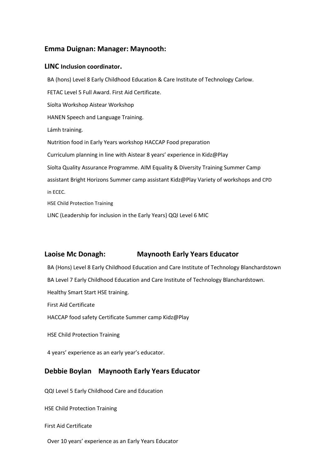## **Emma Duignan: Manager: Maynooth:**

### **LINC Inclusion coordinator.**

BA (hons) Level 8 Early Childhood Education & Care Institute of Technology Carlow. FETAC Level 5 Full Award. First Aid Certificate. Síolta Workshop Aistear Workshop HANEN Speech and Language Training. Lámh training. Nutrition food in Early Years workshop HACCAP Food preparation Curriculum planning in line with Aistear 8 years' experience in Kidz@Play Síolta Quality Assurance Programme. AIM Equality & Diversity Training Summer Camp assistant Bright Horizons Summer camp assistant Kidz@Play Variety of workshops and CPD in ECEC. HSE Child Protection Training

LINC (Leadership for inclusion in the Early Years} QQI Level 6 MIC

## **Laoise Mc Donagh: Maynooth Early Years Educator**

BA (Hons) Level 8 Early Childhood Education and Care Institute of Technology Blanchardstown

BA Level 7 Early Childhood Education and Care Institute of Technology Blanchardstown.

Healthy Smart Start HSE training.

First Aid Certificate

HACCAP food safety Certificate Summer camp Kidz@Play

HSE Child Protection Training

4 years' experience as an early year's educator.

## **Debbie Boylan Maynooth Early Years Educator**

QQI Level 5 Early Childhood Care and Education

HSE Child Protection Training

First Aid Certificate

Over 10 years' experience as an Early Years Educator